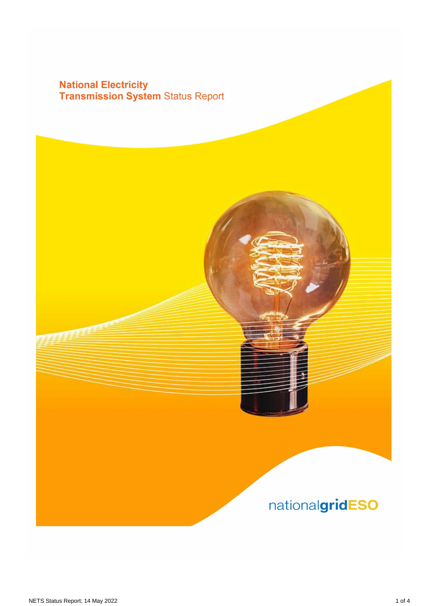# **National Electricity<br>Transmission System Status Report**

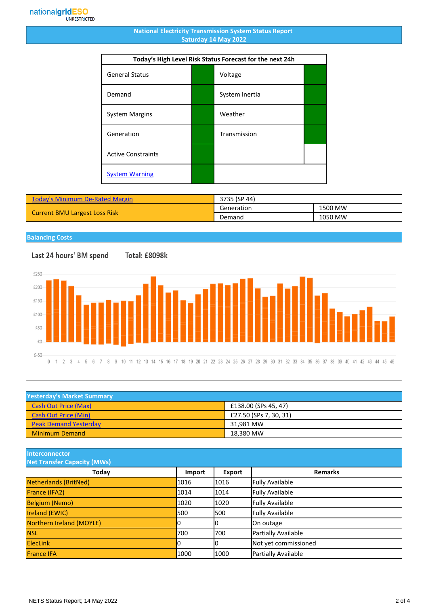#### **National Electricity Transmission System Status Report Saturday 14 May 2022**

| Today's High Level Risk Status Forecast for the next 24h |  |                |  |
|----------------------------------------------------------|--|----------------|--|
| <b>General Status</b>                                    |  | Voltage        |  |
| Demand                                                   |  | System Inertia |  |
| <b>System Margins</b>                                    |  | Weather        |  |
| Generation                                               |  | Transmission   |  |
| <b>Active Constraints</b>                                |  |                |  |
| <b>System Warning</b>                                    |  |                |  |

| <b>Today's Minimum De-Rated Margin</b> | 3735 (SP 44) |         |
|----------------------------------------|--------------|---------|
| <b>Current BMU Largest Loss Risk</b>   | Generation   | 1500 MW |
|                                        | Demand       | 1050 MW |

### **Balancing Costs**

Total: £8098k



| <b>Yesterday's Market Summary</b> |                        |
|-----------------------------------|------------------------|
| <b>Cash Out Price (Max)</b>       | £138.00 (SPs 45, 47)   |
| <b>Cash Out Price (Min)</b>       | £27.50 (SPs 7, 30, 31) |
| <b>Peak Demand Yesterday</b>      | 31.981 MW              |
| <b>Minimum Demand</b>             | 18,380 MW              |

**Interconnector**

| <b>Net Transfer Capacity (MWs)</b> |        |        |                        |
|------------------------------------|--------|--------|------------------------|
| Today                              | Import | Export | <b>Remarks</b>         |
| Netherlands (BritNed)              | 1016   | 1016   | <b>Fully Available</b> |
| France (IFA2)                      | 1014   | 1014   | <b>Fully Available</b> |
| <b>Belgium (Nemo)</b>              | 1020   | 1020   | <b>Fully Available</b> |
| <b>Ireland (EWIC)</b>              | 500    | 1500   | <b>Fully Available</b> |
| Northern Ireland (MOYLE)           | 0      |        | On outage              |
| <b>NSL</b>                         | 700    | 700    | Partially Available    |
| <b>ElecLink</b>                    | 10     |        | Not yet commissioned   |
| <b>France IFA</b>                  | 1000   | 1000   | Partially Available    |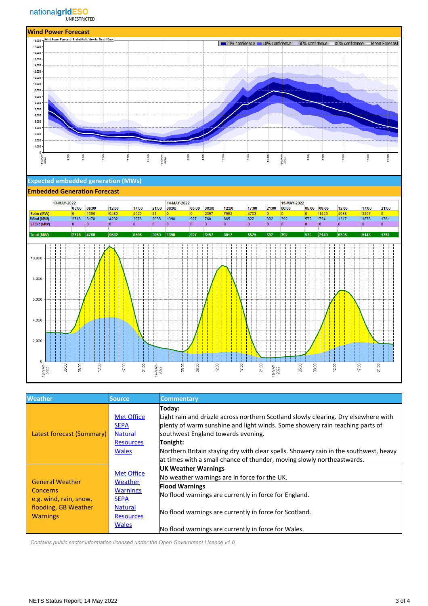



| <b>Weather</b>                                                                                                 | Source                                                                                                               | <b>Commentary</b>                                                                                                                                                                                                                                                                                                                                                                                 |
|----------------------------------------------------------------------------------------------------------------|----------------------------------------------------------------------------------------------------------------------|---------------------------------------------------------------------------------------------------------------------------------------------------------------------------------------------------------------------------------------------------------------------------------------------------------------------------------------------------------------------------------------------------|
| Latest forecast (Summary)                                                                                      | <b>Met Office</b><br><b>SEPA</b><br><b>Natural</b><br><b>Resources</b><br><b>Wales</b>                               | Today:<br>Light rain and drizzle across northern Scotland slowly clearing. Dry elsewhere with<br>plenty of warm sunshine and light winds. Some showery rain reaching parts of<br>southwest England towards evening.<br>Tonight:<br>Northern Britain staying dry with clear spells. Showery rain in the southwest, heavy<br>at times with a small chance of thunder, moving slowly northeastwards. |
| <b>General Weather</b><br><b>Concerns</b><br>e.g. wind, rain, snow,<br>flooding, GB Weather<br><b>Warnings</b> | <b>Met Office</b><br>Weather<br><b>Warnings</b><br><b>SEPA</b><br><b>Natural</b><br><b>Resources</b><br><b>Wales</b> | <b>UK Weather Warnings</b><br>No weather warnings are in force for the UK.<br><b>Flood Warnings</b><br>No flood warnings are currently in force for England.<br>No flood warnings are currently in force for Scotland.<br>No flood warnings are currently in force for Wales.                                                                                                                     |

 *Contains public sector information licensed under the Open Government Licence v1.0*

17:00

 $1876$ 

5143

 $\mathbf{0}$ 

 $21:00$ 

 $1761$ 

1761

 $\overline{\mathbf{0}}$ 

21:00